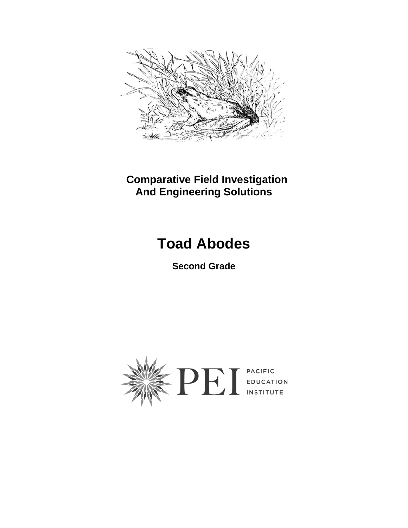

 **Comparative Field Investigation And Engineering Solutions**

# **Toad Abodes**

**Second Grade**

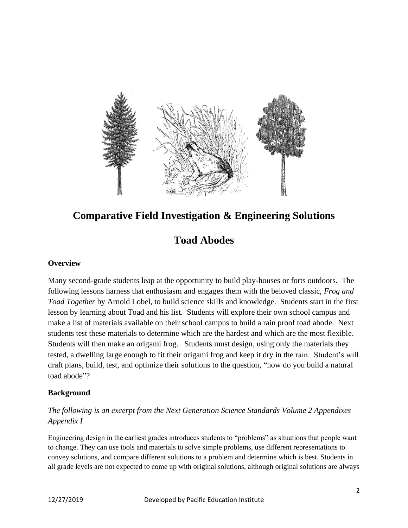

### **Comparative Field Investigation & Engineering Solutions**

### **Toad Abodes**

#### **Overview**

Many second-grade students leap at the opportunity to build play-houses or forts outdoors. The following lessons harness that enthusiasm and engages them with the beloved classic, *Frog and Toad Together* by Arnold Lobel, to build science skills and knowledge. Students start in the first lesson by learning about Toad and his list. Students will explore their own school campus and make a list of materials available on their school campus to build a rain proof toad abode. Next students test these materials to determine which are the hardest and which are the most flexible. Students will then make an origami frog. Students must design, using only the materials they tested, a dwelling large enough to fit their origami frog and keep it dry in the rain. Student's will draft plans, build, test, and optimize their solutions to the question, "how do you build a natural toad abode"?

#### **Background**

#### *The following is an excerpt from the Next Generation Science Standards Volume 2 Appendixes – Appendix I*

Engineering design in the earliest grades introduces students to "problems" as situations that people want to change. They can use tools and materials to solve simple problems, use different representations to convey solutions, and compare different solutions to a problem and determine which is best. Students in all grade levels are not expected to come up with original solutions, although original solutions are always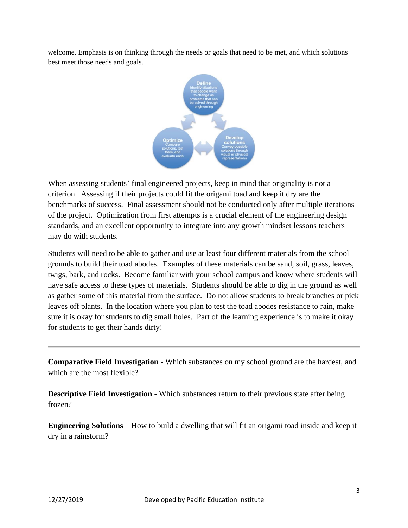welcome. Emphasis is on thinking through the needs or goals that need to be met, and which solutions best meet those needs and goals.



When assessing students' final engineered projects, keep in mind that originality is not a criterion. Assessing if their projects could fit the origami toad and keep it dry are the benchmarks of success. Final assessment should not be conducted only after multiple iterations of the project. Optimization from first attempts is a crucial element of the engineering design standards, and an excellent opportunity to integrate into any growth mindset lessons teachers may do with students.

Students will need to be able to gather and use at least four different materials from the school grounds to build their toad abodes. Examples of these materials can be sand, soil, grass, leaves, twigs, bark, and rocks. Become familiar with your school campus and know where students will have safe access to these types of materials. Students should be able to dig in the ground as well as gather some of this material from the surface. Do not allow students to break branches or pick leaves off plants. In the location where you plan to test the toad abodes resistance to rain, make sure it is okay for students to dig small holes. Part of the learning experience is to make it okay for students to get their hands dirty!

**Comparative Field Investigation -** Which substances on my school ground are the hardest, and which are the most flexible?

**Descriptive Field Investigation** - Which substances return to their previous state after being frozen?

**Engineering Solutions** – How to build a dwelling that will fit an origami toad inside and keep it dry in a rainstorm?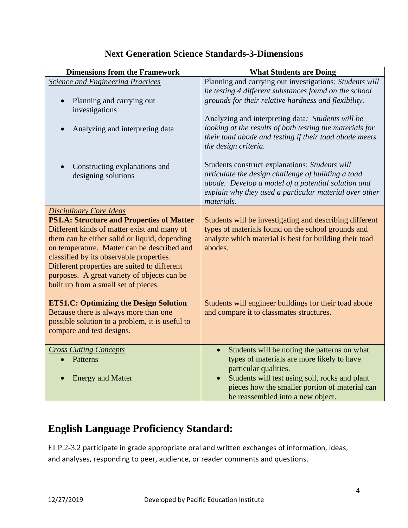| <b>Dimensions from the Framework</b>                                                                                                                                                                                                                                                                                           | <b>What Students are Doing</b>                                                                                                                                                                                                     |
|--------------------------------------------------------------------------------------------------------------------------------------------------------------------------------------------------------------------------------------------------------------------------------------------------------------------------------|------------------------------------------------------------------------------------------------------------------------------------------------------------------------------------------------------------------------------------|
| <b>Science and Engineering Practices</b>                                                                                                                                                                                                                                                                                       | Planning and carrying out investigations: Students will                                                                                                                                                                            |
| Planning and carrying out<br>investigations                                                                                                                                                                                                                                                                                    | be testing 4 different substances found on the school<br>grounds for their relative hardness and flexibility.                                                                                                                      |
| Analyzing and interpreting data                                                                                                                                                                                                                                                                                                | Analyzing and interpreting data: Students will be<br>looking at the results of both testing the materials for<br>their toad abode and testing if their toad abode meets<br>the design criteria.                                    |
| Constructing explanations and<br>designing solutions                                                                                                                                                                                                                                                                           | Students construct explanations: Students will<br>articulate the design challenge of building a toad<br>abode. Develop a model of a potential solution and<br>explain why they used a particular material over other<br>materials. |
| <b>Disciplinary Core Ideas</b><br><b>PS1.A: Structure and Properties of Matter</b>                                                                                                                                                                                                                                             | Students will be investigating and describing different                                                                                                                                                                            |
| Different kinds of matter exist and many of<br>them can be either solid or liquid, depending<br>on temperature. Matter can be described and<br>classified by its observable properties.<br>Different properties are suited to different<br>purposes. A great variety of objects can be<br>built up from a small set of pieces. | types of materials found on the school grounds and<br>analyze which material is best for building their toad<br>abodes.                                                                                                            |
| <b>ETS1.C: Optimizing the Design Solution</b><br>Because there is always more than one<br>possible solution to a problem, it is useful to<br>compare and test designs.                                                                                                                                                         | Students will engineer buildings for their toad abode<br>and compare it to classmates structures.                                                                                                                                  |
| <b>Cross Cutting Concepts</b>                                                                                                                                                                                                                                                                                                  | Students will be noting the patterns on what<br>$\bullet$                                                                                                                                                                          |
| Patterns                                                                                                                                                                                                                                                                                                                       | types of materials are more likely to have                                                                                                                                                                                         |
| <b>Energy and Matter</b>                                                                                                                                                                                                                                                                                                       | particular qualities.<br>Students will test using soil, rocks and plant<br>pieces how the smaller portion of material can<br>be reassembled into a new object.                                                                     |

## **English Language Proficiency Standard:**

ELP.2-3.2 participate in grade appropriate oral and written exchanges of information, ideas, and analyses, responding to peer, audience, or reader comments and questions.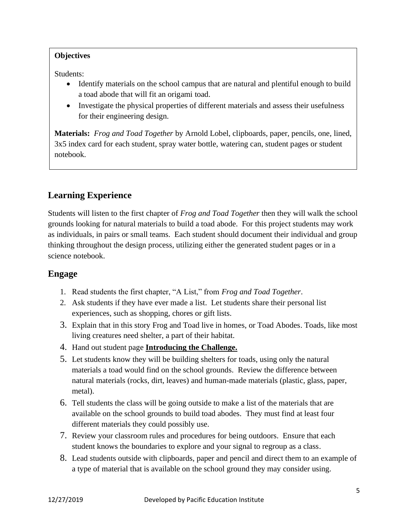#### **Objectives**

Students:

- Identify materials on the school campus that are natural and plentiful enough to build a toad abode that will fit an origami toad.
- Investigate the physical properties of different materials and assess their usefulness for their engineering design.

**Materials:** *Frog and Toad Together* by Arnold Lobel, clipboards, paper, pencils, one, lined, 3x5 index card for each student, spray water bottle, watering can, student pages or student notebook.

#### **Learning Experience**

Students will listen to the first chapter of *Frog and Toad Together* then they will walk the school grounds looking for natural materials to build a toad abode. For this project students may work as individuals, in pairs or small teams. Each student should document their individual and group thinking throughout the design process, utilizing either the generated student pages or in a science notebook.

#### **Engage**

- 1. Read students the first chapter, "A List," from *Frog and Toad Together*.
- 2. Ask students if they have ever made a list. Let students share their personal list experiences, such as shopping, chores or gift lists.
- 3. Explain that in this story Frog and Toad live in homes, or Toad Abodes. Toads, like most living creatures need shelter, a part of their habitat.
- 4. Hand out student page **Introducing the Challenge.**
- 5. Let students know they will be building shelters for toads, using only the natural materials a toad would find on the school grounds. Review the difference between natural materials (rocks, dirt, leaves) and human-made materials (plastic, glass, paper, metal).
- 6. Tell students the class will be going outside to make a list of the materials that are available on the school grounds to build toad abodes. They must find at least four different materials they could possibly use.
- 7. Review your classroom rules and procedures for being outdoors. Ensure that each student knows the boundaries to explore and your signal to regroup as a class.
- 8. Lead students outside with clipboards, paper and pencil and direct them to an example of a type of material that is available on the school ground they may consider using.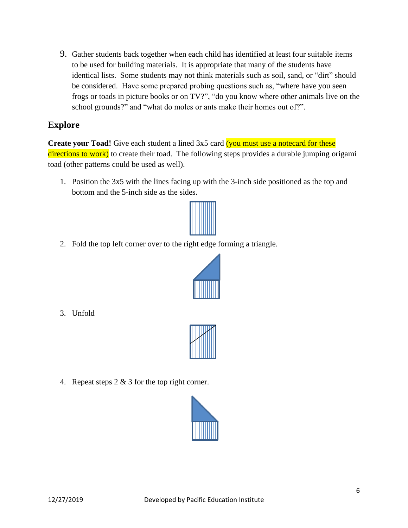9. Gather students back together when each child has identified at least four suitable items to be used for building materials. It is appropriate that many of the students have identical lists. Some students may not think materials such as soil, sand, or "dirt" should be considered. Have some prepared probing questions such as, "where have you seen frogs or toads in picture books or on TV?", "do you know where other animals live on the school grounds?" and "what do moles or ants make their homes out of?".

#### **Explore**

**Create your Toad!** Give each student a lined 3x5 card (you must use a notecard for these directions to work) to create their toad. The following steps provides a durable jumping origami toad (other patterns could be used as well).

1. Position the 3x5 with the lines facing up with the 3-inch side positioned as the top and bottom and the 5-inch side as the sides.



2. Fold the top left corner over to the right edge forming a triangle.



3. Unfold



4. Repeat steps  $2 \& 3$  for the top right corner.

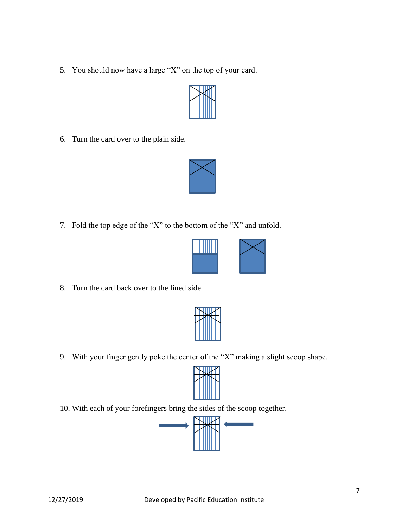5. You should now have a large "X" on the top of your card.



6. Turn the card over to the plain side.



7. Fold the top edge of the "X" to the bottom of the "X" and unfold.



8. Turn the card back over to the lined side

9. With your finger gently poke the center of the "X" making a slight scoop shape.



10. With each of your forefingers bring the sides of the scoop together.

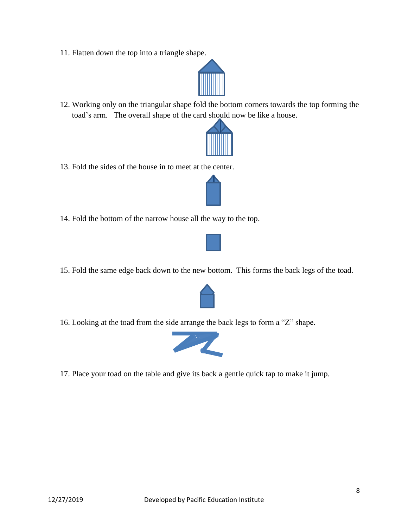11. Flatten down the top into a triangle shape.



12. Working only on the triangular shape fold the bottom corners towards the top forming the toad's arm. The overall shape of the card should now be like a house.



13. Fold the sides of the house in to meet at the center.



14. Fold the bottom of the narrow house all the way to the top.



15. Fold the same edge back down to the new bottom. This forms the back legs of the toad.



16. Looking at the toad from the side arrange the back legs to form a "Z" shape.



17. Place your toad on the table and give its back a gentle quick tap to make it jump.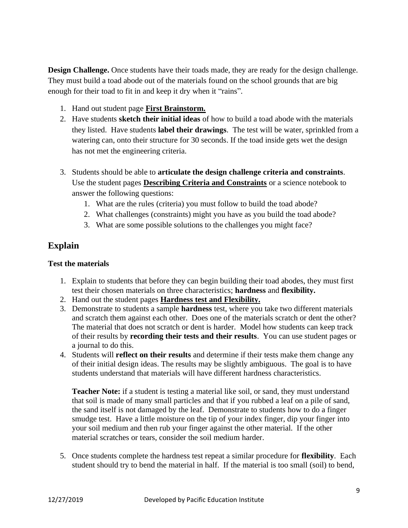**Design Challenge.** Once students have their toads made, they are ready for the design challenge. They must build a toad abode out of the materials found on the school grounds that are big enough for their toad to fit in and keep it dry when it "rains".

- 1. Hand out student page **First Brainstorm.**
- 2. Have students **sketch their initial ideas** of how to build a toad abode with the materials they listed. Have students **label their drawings**. The test will be water, sprinkled from a watering can, onto their structure for 30 seconds. If the toad inside gets wet the design has not met the engineering criteria.
- 3. Students should be able to **articulate the design challenge criteria and constraints**. Use the student pages **Describing Criteria and Constraints** or a science notebook to answer the following questions:
	- 1. What are the rules (criteria) you must follow to build the toad abode?
	- 2. What challenges (constraints) might you have as you build the toad abode?
	- 3. What are some possible solutions to the challenges you might face?

#### **Explain**

#### **Test the materials**

- 1. Explain to students that before they can begin building their toad abodes, they must first test their chosen materials on three characteristics; **hardness** and **flexibility.**
- 2. Hand out the student pages **Hardness test and Flexibility.**
- 3. Demonstrate to students a sample **hardness** test, where you take two different materials and scratch them against each other. Does one of the materials scratch or dent the other? The material that does not scratch or dent is harder. Model how students can keep track of their results by **recording their tests and their results**. You can use student pages or a journal to do this.
- 4. Students will **reflect on their results** and determine if their tests make them change any of their initial design ideas. The results may be slightly ambiguous. The goal is to have students understand that materials will have different hardness characteristics.

**Teacher Note:** if a student is testing a material like soil, or sand, they must understand that soil is made of many small particles and that if you rubbed a leaf on a pile of sand, the sand itself is not damaged by the leaf. Demonstrate to students how to do a finger smudge test. Have a little moisture on the tip of your index finger, dip your finger into your soil medium and then rub your finger against the other material. If the other material scratches or tears, consider the soil medium harder.

5. Once students complete the hardness test repeat a similar procedure for **flexibility**. Each student should try to bend the material in half. If the material is too small (soil) to bend,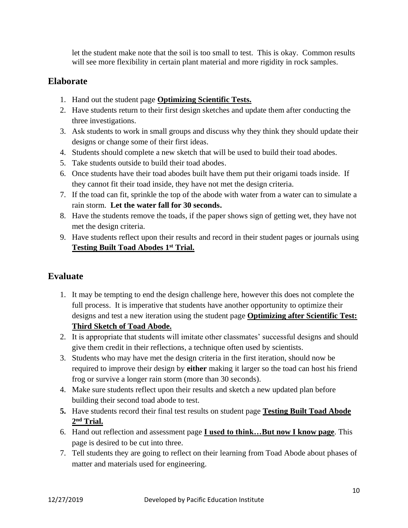let the student make note that the soil is too small to test. This is okay. Common results will see more flexibility in certain plant material and more rigidity in rock samples.

#### **Elaborate**

- 1. Hand out the student page **Optimizing Scientific Tests.**
- 2. Have students return to their first design sketches and update them after conducting the three investigations.
- 3. Ask students to work in small groups and discuss why they think they should update their designs or change some of their first ideas.
- 4. Students should complete a new sketch that will be used to build their toad abodes.
- 5. Take students outside to build their toad abodes.
- 6. Once students have their toad abodes built have them put their origami toads inside. If they cannot fit their toad inside, they have not met the design criteria.
- 7. If the toad can fit, sprinkle the top of the abode with water from a water can to simulate a rain storm. **Let the water fall for 30 seconds.**
- 8. Have the students remove the toads, if the paper shows sign of getting wet, they have not met the design criteria.
- 9. Have students reflect upon their results and record in their student pages or journals using **Testing Built Toad Abodes 1st Trial.**

#### **Evaluate**

- 1. It may be tempting to end the design challenge here, however this does not complete the full process. It is imperative that students have another opportunity to optimize their designs and test a new iteration using the student page **Optimizing after Scientific Test: Third Sketch of Toad Abode.**
- 2. It is appropriate that students will imitate other classmates' successful designs and should give them credit in their reflections, a technique often used by scientists.
- 3. Students who may have met the design criteria in the first iteration, should now be required to improve their design by **either** making it larger so the toad can host his friend frog or survive a longer rain storm (more than 30 seconds).
- 4. Make sure students reflect upon their results and sketch a new updated plan before building their second toad abode to test.
- **5.** Have students record their final test results on student page **Testing Built Toad Abode 2 nd Trial.**
- 6. Hand out reflection and assessment page **I used to think…But now I know page**. This page is desired to be cut into three.
- 7. Tell students they are going to reflect on their learning from Toad Abode about phases of matter and materials used for engineering.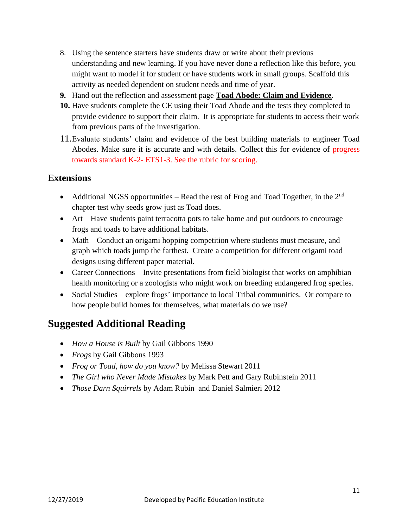- 8. Using the sentence starters have students draw or write about their previous understanding and new learning. If you have never done a reflection like this before, you might want to model it for student or have students work in small groups. Scaffold this activity as needed dependent on student needs and time of year.
- **9.** Hand out the reflection and assessment page **Toad Abode: Claim and Evidence**.
- **10.** Have students complete the CE using their Toad Abode and the tests they completed to provide evidence to support their claim. It is appropriate for students to access their work from previous parts of the investigation.
- 11.Evaluate students' claim and evidence of the best building materials to engineer Toad Abodes. Make sure it is accurate and with details. Collect this for evidence of progress towards standard K-2- ETS1-3. See the rubric for scoring.

#### **Extensions**

- Additional NGSS opportunities Read the rest of Frog and Toad Together, in the  $2<sup>nd</sup>$ chapter test why seeds grow just as Toad does.
- Art Have students paint terracotta pots to take home and put outdoors to encourage frogs and toads to have additional habitats.
- Math Conduct an origami hopping competition where students must measure, and graph which toads jump the farthest. Create a competition for different origami toad designs using different paper material.
- Career Connections Invite presentations from field biologist that works on amphibian health monitoring or a zoologists who might work on breeding endangered frog species.
- Social Studies explore frogs' importance to local Tribal communities. Or compare to how people build homes for themselves, what materials do we use?

### **Suggested Additional Reading**

- *How a House is Built* by Gail Gibbons 1990
- *Frogs* by Gail Gibbons 1993
- *Frog or Toad, how do you know?* by Melissa Stewart 2011
- *The Girl who Never Made Mistakes* by Mark Pett and Gary Rubinstein 2011
- *Those Darn Squirrels* by Adam Rubin and Daniel Salmieri 2012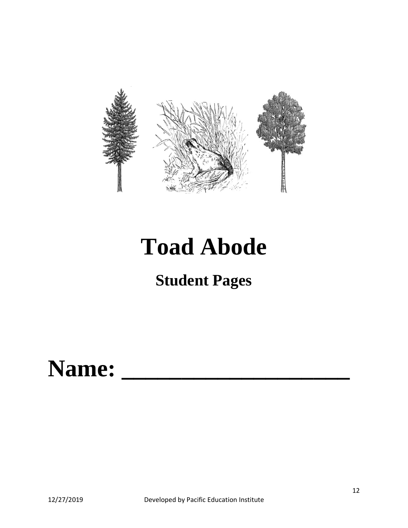

# **Toad Abode**

# **Student Pages**

# Name: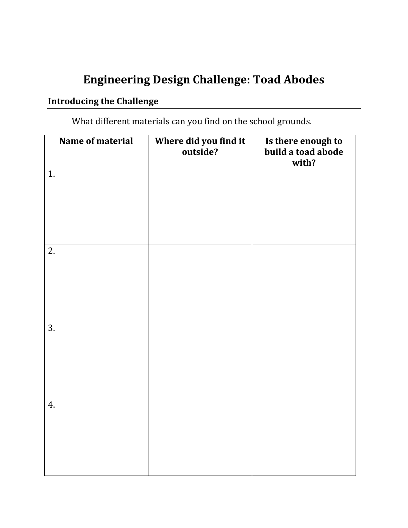# **Engineering Design Challenge: Toad Abodes**

## **Introducing the Challenge**

What different materials can you find on the school grounds.

| Name of material | Where did you find it<br>outside? | Is there enough to<br>build a toad abode<br>with? |
|------------------|-----------------------------------|---------------------------------------------------|
| 1.               |                                   |                                                   |
|                  |                                   |                                                   |
| 2.               |                                   |                                                   |
|                  |                                   |                                                   |
| 3.               |                                   |                                                   |
|                  |                                   |                                                   |
|                  |                                   |                                                   |
| 4.               |                                   |                                                   |
|                  |                                   |                                                   |
|                  |                                   |                                                   |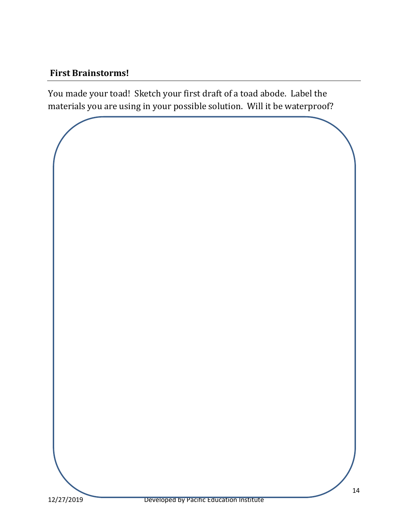#### **First Brainstorms!**

You made your toad! Sketch your first draft of a toad abode. Label the materials you are using in your possible solution. Will it be waterproof?

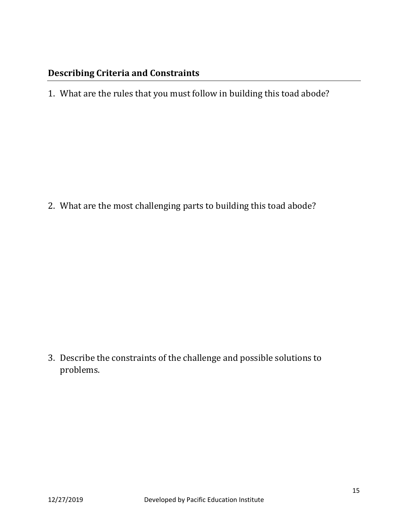#### **Describing Criteria and Constraints**

1. What are the rules that you must follow in building this toad abode?

2. What are the most challenging parts to building this toad abode?

3. Describe the constraints of the challenge and possible solutions to problems.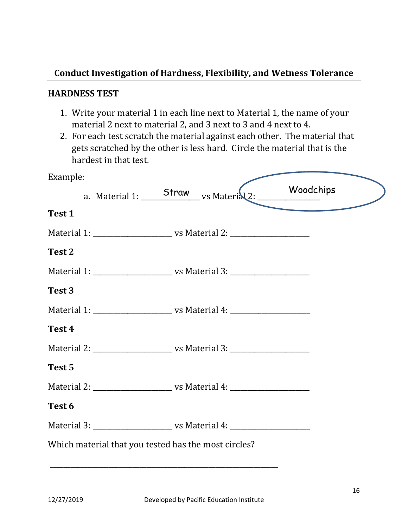#### **Conduct Investigation of Hardness, Flexibility, and Wetness Tolerance**

#### **HARDNESS TEST**

- 1. Write your material 1 in each line next to Material 1, the name of your material 2 next to material 2, and 3 next to 3 and 4 next to 4.
- 2. For each test scratch the material against each other. The material that gets scratched by the other is less hard. Circle the material that is the hardest in that test.

| Example:          |                                                      |                                                                                  |           |  |
|-------------------|------------------------------------------------------|----------------------------------------------------------------------------------|-----------|--|
|                   |                                                      | a. Material 1: Straw vs Material 2: V                                            | Woodchips |  |
| Test 1            |                                                      |                                                                                  |           |  |
|                   |                                                      |                                                                                  |           |  |
| Test <sub>2</sub> |                                                      |                                                                                  |           |  |
|                   |                                                      |                                                                                  |           |  |
| Test 3            |                                                      |                                                                                  |           |  |
|                   |                                                      |                                                                                  |           |  |
| Test 4            |                                                      |                                                                                  |           |  |
|                   |                                                      |                                                                                  |           |  |
| Test 5            |                                                      |                                                                                  |           |  |
|                   |                                                      |                                                                                  |           |  |
| Test 6            |                                                      |                                                                                  |           |  |
|                   |                                                      | Material 3: ___________________________ vs Material 4: _________________________ |           |  |
|                   | Which material that you tested has the most circles? |                                                                                  |           |  |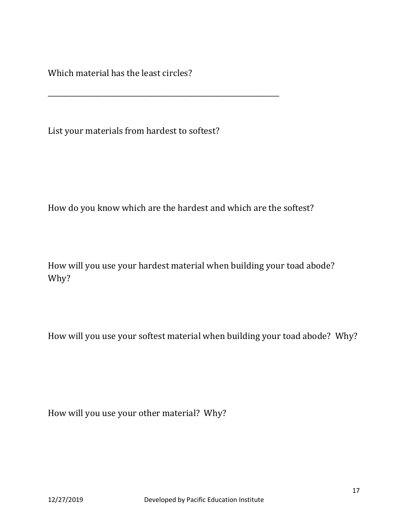Which material has the least circles?

List your materials from hardest to softest?

\_\_\_\_\_\_\_\_\_\_\_\_\_\_\_\_\_\_\_\_\_\_\_\_\_\_\_\_\_\_\_\_\_\_\_\_\_\_\_\_\_\_\_\_\_\_\_\_\_\_\_\_\_\_\_\_\_\_\_\_\_\_\_\_\_\_\_

How do you know which are the hardest and which are the softest?

How will you use your hardest material when building your toad abode? Why?

How will you use your softest material when building your toad abode? Why?

How will you use your other material? Why?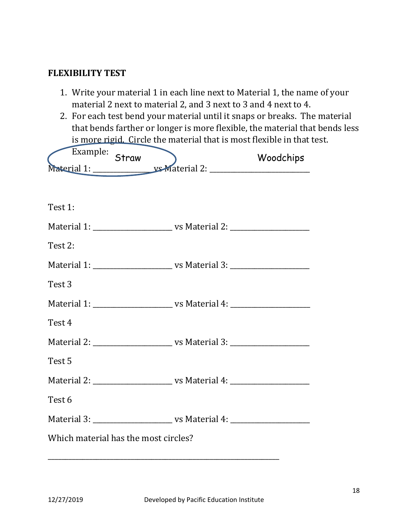#### **FLEXIBILITY TEST**

- 1. Write your material 1 in each line next to Material 1, the name of your material 2 next to material 2, and 3 next to 3 and 4 next to 4.
- 2. For each test bend your material until it snaps or breaks. The material that bends farther or longer is more flexible, the material that bends less is more rigid. Circle the material that is most flexible in that test.

| Example: Straw                       |  | Woodchips |
|--------------------------------------|--|-----------|
|                                      |  |           |
|                                      |  |           |
| Test 1:                              |  |           |
|                                      |  |           |
| Test 2:                              |  |           |
|                                      |  |           |
| Test 3                               |  |           |
|                                      |  |           |
| Test 4                               |  |           |
|                                      |  |           |
| Test 5                               |  |           |
|                                      |  |           |
| Test 6                               |  |           |
|                                      |  |           |
| Which material has the most circles? |  |           |
|                                      |  |           |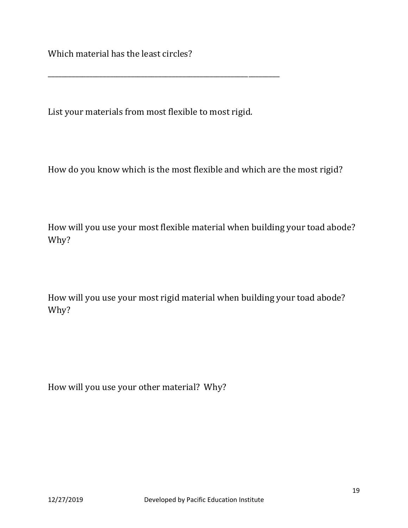Which material has the least circles?

List your materials from most flexible to most rigid.

\_\_\_\_\_\_\_\_\_\_\_\_\_\_\_\_\_\_\_\_\_\_\_\_\_\_\_\_\_\_\_\_\_\_\_\_\_\_\_\_\_\_\_\_\_\_\_\_\_\_\_\_\_\_\_\_\_\_\_\_\_\_\_\_\_\_\_

How do you know which is the most flexible and which are the most rigid?

How will you use your most flexible material when building your toad abode? Why?

How will you use your most rigid material when building your toad abode? Why?

How will you use your other material? Why?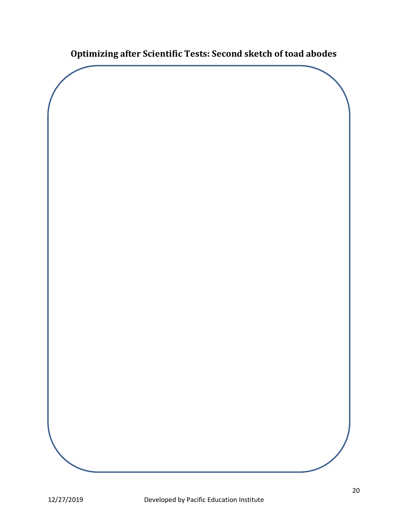**Optimizing after Scientific Tests: Second sketch of toad abodes**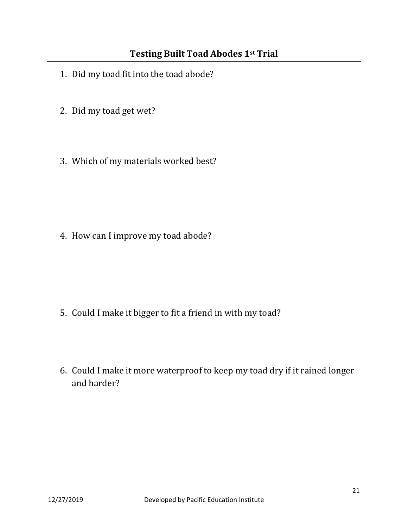- 1. Did my toad fit into the toad abode?
- 2. Did my toad get wet?
- 3. Which of my materials worked best?

4. How can I improve my toad abode?

- 5. Could I make it bigger to fit a friend in with my toad?
- 6. Could I make it more waterproof to keep my toad dry if it rained longer and harder?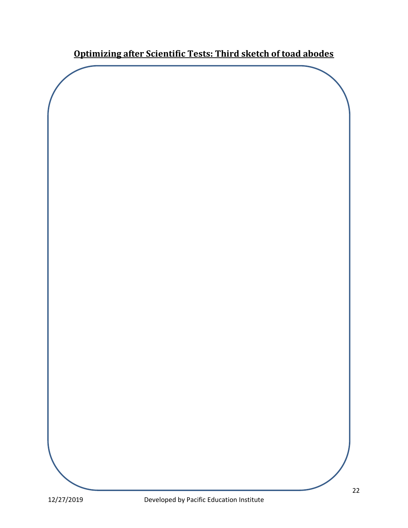**Optimizing after Scientific Tests: Third sketch of toad abodes**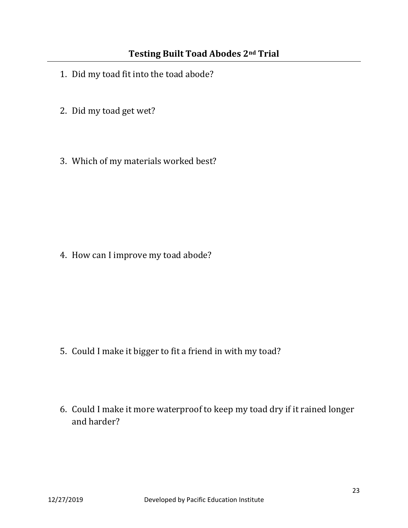- 1. Did my toad fit into the toad abode?
- 2. Did my toad get wet?
- 3. Which of my materials worked best?

4. How can I improve my toad abode?

- 5. Could I make it bigger to fit a friend in with my toad?
- 6. Could I make it more waterproof to keep my toad dry if it rained longer and harder?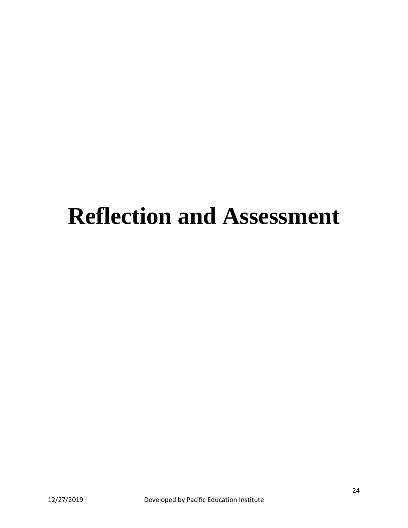# **Reflection and Assessment**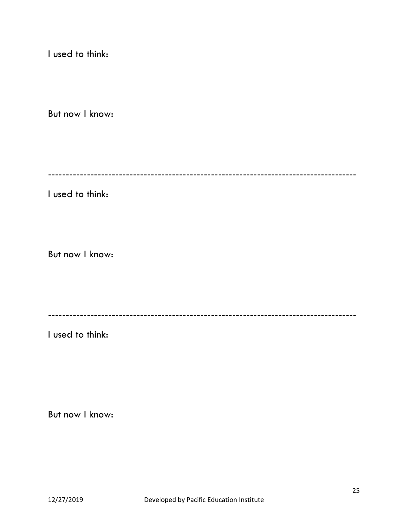I used to think:

But now I know:

---------------------------------------------------------------------------------------

I used to think:

But now I know:

---------------------------------------------------------------------------------------

I used to think:

But now I know: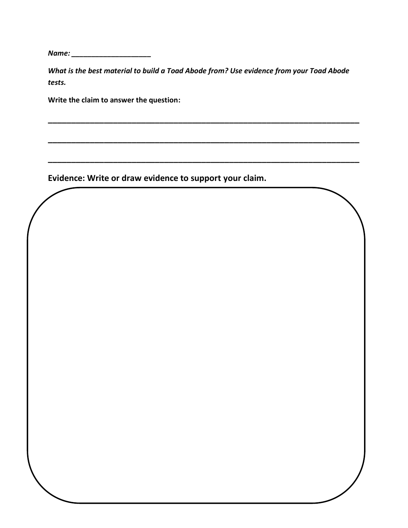*Name: \_\_\_\_\_\_\_\_\_\_\_\_\_\_\_\_\_\_\_\_*

*What is the best material to build a Toad Abode from? Use evidence from your Toad Abode tests.*

**\_\_\_\_\_\_\_\_\_\_\_\_\_\_\_\_\_\_\_\_\_\_\_\_\_\_\_\_\_\_\_\_\_\_\_\_\_\_\_\_\_\_\_\_\_\_\_\_\_\_\_\_\_\_\_\_\_\_\_\_\_\_\_\_\_\_\_**

**\_\_\_\_\_\_\_\_\_\_\_\_\_\_\_\_\_\_\_\_\_\_\_\_\_\_\_\_\_\_\_\_\_\_\_\_\_\_\_\_\_\_\_\_\_\_\_\_\_\_\_\_\_\_\_\_\_\_\_\_\_\_\_\_\_\_\_**

**\_\_\_\_\_\_\_\_\_\_\_\_\_\_\_\_\_\_\_\_\_\_\_\_\_\_\_\_\_\_\_\_\_\_\_\_\_\_\_\_\_\_\_\_\_\_\_\_\_\_\_\_\_\_\_\_\_\_\_\_\_\_\_\_\_\_\_**

**Write the claim to answer the question:**

**Evidence: Write or draw evidence to support your claim.**